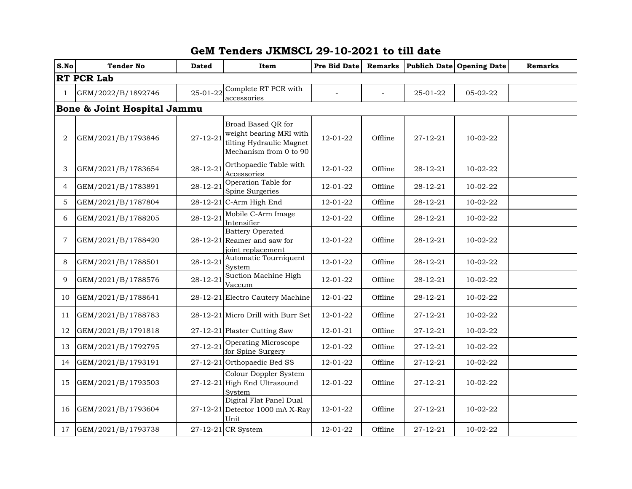## **GeM Tenders JKMSCL 29-10-2021 to till date**

| S.No              | <b>Tender No</b>            | <b>Dated</b>   | Item                                                                                                | Pre Bid Date   | <b>Remarks</b>           |                | Publich Date Opening Date | <b>Remarks</b> |  |
|-------------------|-----------------------------|----------------|-----------------------------------------------------------------------------------------------------|----------------|--------------------------|----------------|---------------------------|----------------|--|
| <b>RT PCR Lab</b> |                             |                |                                                                                                     |                |                          |                |                           |                |  |
| 1                 | GEM/2022/B/1892746          | 25-01-22       | Complete RT PCR with<br>accessories                                                                 |                | $\overline{\phantom{a}}$ | 25-01-22       | 05-02-22                  |                |  |
|                   | Bone & Joint Hospital Jammu |                |                                                                                                     |                |                          |                |                           |                |  |
| 2                 | GEM/2021/B/1793846          | $27 - 12 - 21$ | Broad Based QR for<br>weight bearing MRI with<br>tilting Hydraulic Magnet<br>Mechanism from 0 to 90 | 12-01-22       | Offline                  | $27 - 12 - 21$ | $10-02-22$                |                |  |
| 3                 | GEM/2021/B/1783654          | $28 - 12 - 21$ | Orthopaedic Table with<br>Accessories                                                               | 12-01-22       | Offline                  | 28-12-21       | 10-02-22                  |                |  |
| 4                 | GEM/2021/B/1783891          | 28-12-21       | Operation Table for<br>Spine Surgeries                                                              | 12-01-22       | Offline                  | 28-12-21       | 10-02-22                  |                |  |
| 5                 | GEM/2021/B/1787804          |                | 28-12-21 C-Arm High End                                                                             | 12-01-22       | Offline                  | 28-12-21       | 10-02-22                  |                |  |
| 6                 | GEM/2021/B/1788205          | $28 - 12 - 21$ | Mobile C-Arm Image<br>Intensifier                                                                   | 12-01-22       | Offline                  | 28-12-21       | 10-02-22                  |                |  |
| 7                 | GEM/2021/B/1788420          |                | <b>Battery Operated</b><br>$28-12-21$ Reamer and saw for<br>joint replacement                       | 12-01-22       | Offline                  | 28-12-21       | 10-02-22                  |                |  |
| 8                 | GEM/2021/B/1788501          | $28 - 12 - 21$ | Automatic Tourniquent<br>System                                                                     | 12-01-22       | Offline                  | $28 - 12 - 21$ | 10-02-22                  |                |  |
| 9                 | GEM/2021/B/1788576          | $28 - 12 - 21$ | Suction Machine High<br>Vaccum                                                                      | 12-01-22       | Offline                  | $28 - 12 - 21$ | 10-02-22                  |                |  |
| 10                | GEM/2021/B/1788641          |                | 28-12-21 Electro Cautery Machine                                                                    | 12-01-22       | Offline                  | 28-12-21       | 10-02-22                  |                |  |
| 11                | GEM/2021/B/1788783          |                | 28-12-21 Micro Drill with Burr Set                                                                  | 12-01-22       | Offline                  | $27 - 12 - 21$ | 10-02-22                  |                |  |
| 12                | GEM/2021/B/1791818          |                | 27-12-21 Plaster Cutting Saw                                                                        | $12 - 01 - 21$ | Offline                  | $27 - 12 - 21$ | 10-02-22                  |                |  |
| 13                | GEM/2021/B/1792795          | $27 - 12 - 21$ | Operating Microscope<br>for Spine Surgery                                                           | 12-01-22       | Offline                  | 27-12-21       | 10-02-22                  |                |  |
| 14                | GEM/2021/B/1793191          |                | $27-12-21$ Orthopaedic Bed SS                                                                       | 12-01-22       | Offline                  | $27 - 12 - 21$ | 10-02-22                  |                |  |
| 15                | GEM/2021/B/1793503          |                | Colour Doppler System<br>27-12-21 High End Ultrasound<br>System                                     | 12-01-22       | Offline                  | $27 - 12 - 21$ | 10-02-22                  |                |  |
| 16                | GEM/2021/B/1793604          |                | Digital Flat Panel Dual<br>27-12-21 Detector 1000 mA X-Ray<br>Unit                                  | 12-01-22       | Offline                  | $27 - 12 - 21$ | $10-02-22$                |                |  |
| 17                | GEM/2021/B/1793738          |                | 27-12-21 CR System                                                                                  | 12-01-22       | Offline                  | 27-12-21       | 10-02-22                  |                |  |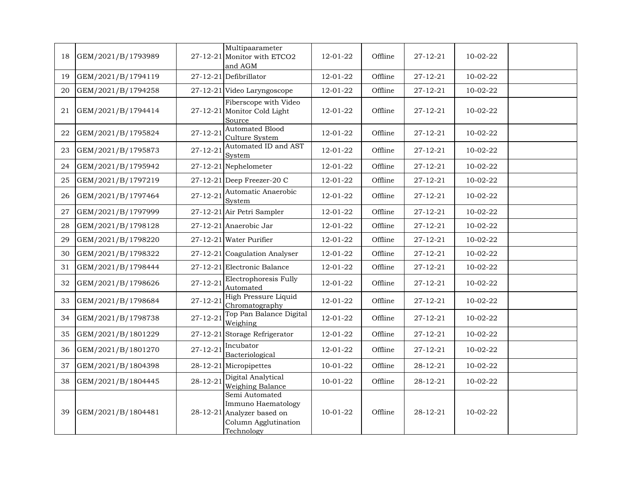| 18 | GEM/2021/B/1793989 |                | Multipaarameter<br>27-12-21 Monitor with ETCO2<br>and AGM                                       | 12-01-22       | Offline | $27 - 12 - 21$ | $10-02-22$ |  |
|----|--------------------|----------------|-------------------------------------------------------------------------------------------------|----------------|---------|----------------|------------|--|
| 19 | GEM/2021/B/1794119 |                | 27-12-21 Defibrillator                                                                          | 12-01-22       | Offline | $27 - 12 - 21$ | 10-02-22   |  |
| 20 | GEM/2021/B/1794258 |                | 27-12-21 Video Laryngoscope                                                                     | 12-01-22       | Offline | $27 - 12 - 21$ | 10-02-22   |  |
| 21 | GEM/2021/B/1794414 |                | Fiberscope with Video<br>$27-12-21$ Monitor Cold Light<br>Source                                | 12-01-22       | Offline | $27 - 12 - 21$ | 10-02-22   |  |
| 22 | GEM/2021/B/1795824 | $27 - 12 - 21$ | <b>Automated Blood</b><br>Culture System                                                        | 12-01-22       | Offline | $27 - 12 - 21$ | 10-02-22   |  |
| 23 | GEM/2021/B/1795873 | $27 - 12 - 21$ | Automated ID and AST<br>System                                                                  | 12-01-22       | Offline | $27 - 12 - 21$ | 10-02-22   |  |
| 24 | GEM/2021/B/1795942 |                | 27-12-21 Nephelometer                                                                           | 12-01-22       | Offline | $27 - 12 - 21$ | 10-02-22   |  |
| 25 | GEM/2021/B/1797219 |                | $27-12-21$ Deep Freezer-20 C                                                                    | 12-01-22       | Offline | $27 - 12 - 21$ | 10-02-22   |  |
| 26 | GEM/2021/B/1797464 | $27 - 12 - 21$ | Automatic Anaerobic<br>System                                                                   | 12-01-22       | Offline | $27 - 12 - 21$ | 10-02-22   |  |
| 27 | GEM/2021/B/1797999 |                | 27-12-21 Air Petri Sampler                                                                      | 12-01-22       | Offline | $27 - 12 - 21$ | 10-02-22   |  |
| 28 | GEM/2021/B/1798128 |                | 27-12-21 Anaerobic Jar                                                                          | 12-01-22       | Offline | $27 - 12 - 21$ | 10-02-22   |  |
| 29 | GEM/2021/B/1798220 |                | 27-12-21 Water Purifier                                                                         | 12-01-22       | Offline | $27 - 12 - 21$ | 10-02-22   |  |
| 30 | GEM/2021/B/1798322 |                | 27-12-21 Coagulation Analyser                                                                   | 12-01-22       | Offline | $27 - 12 - 21$ | 10-02-22   |  |
| 31 | GEM/2021/B/1798444 |                | 27-12-21 Electronic Balance                                                                     | 12-01-22       | Offline | $27 - 12 - 21$ | 10-02-22   |  |
| 32 | GEM/2021/B/1798626 | $27 - 12 - 21$ | Electrophoresis Fully<br>Automated                                                              | 12-01-22       | Offline | $27 - 12 - 21$ | 10-02-22   |  |
| 33 | GEM/2021/B/1798684 | $27 - 12 - 21$ | High Pressure Liquid<br>Chromatography                                                          | 12-01-22       | Offline | $27 - 12 - 21$ | 10-02-22   |  |
| 34 | GEM/2021/B/1798738 | $27 - 12 - 21$ | Top Pan Balance Digital<br>Weighing                                                             | 12-01-22       | Offline | $27 - 12 - 21$ | 10-02-22   |  |
| 35 | GEM/2021/B/1801229 |                | 27-12-21 Storage Refrigerator                                                                   | 12-01-22       | Offline | $27 - 12 - 21$ | 10-02-22   |  |
| 36 | GEM/2021/B/1801270 | $27 - 12 - 21$ | Incubator<br>Bacteriological                                                                    | 12-01-22       | Offline | $27 - 12 - 21$ | 10-02-22   |  |
| 37 | GEM/2021/B/1804398 |                | 28-12-21 Micropipettes                                                                          | $10 - 01 - 22$ | Offline | $28 - 12 - 21$ | 10-02-22   |  |
| 38 | GEM/2021/B/1804445 | $28 - 12 - 21$ | Digital Analytical<br>Weighing Balance                                                          | 10-01-22       | Offline | 28-12-21       | 10-02-22   |  |
| 39 | GEM/2021/B/1804481 | $28 - 12 - 21$ | Semi Automated<br>Immuno Haematology<br>Analyzer based on<br>Column Agglutination<br>Technology | $10 - 01 - 22$ | Offline | $28 - 12 - 21$ | 10-02-22   |  |